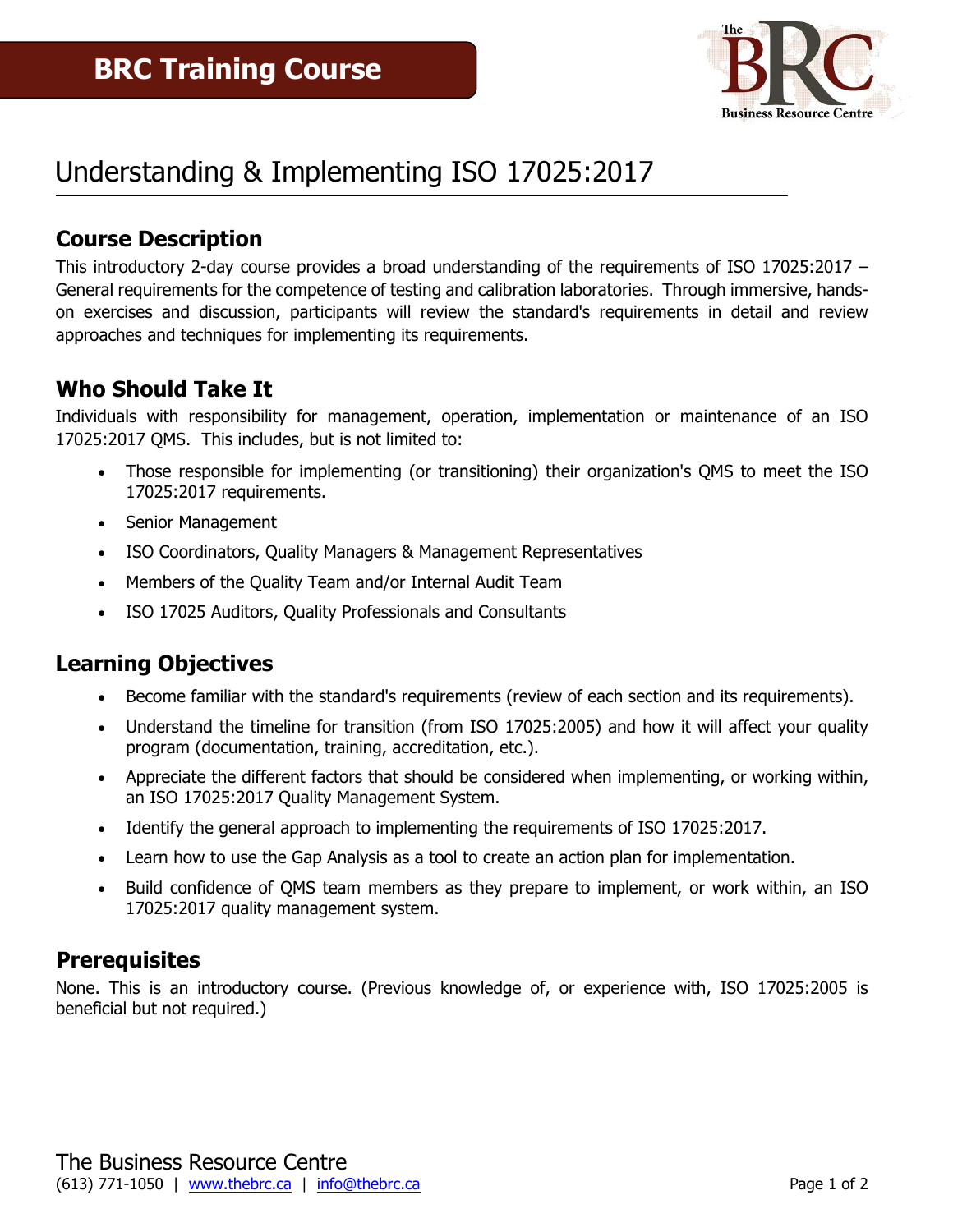

# Understanding & Implementing ISO 17025:2017

#### **Course Description**

This introductory 2-day course provides a broad understanding of the requirements of ISO 17025:2017 – General requirements for the competence of testing and calibration laboratories. Through immersive, handson exercises and discussion, participants will review the standard's requirements in detail and review approaches and techniques for implementing its requirements.

#### **Who Should Take It**

Individuals with responsibility for management, operation, implementation or maintenance of an ISO 17025:2017 QMS. This includes, but is not limited to:

- Those responsible for implementing (or transitioning) their organization's QMS to meet the ISO 17025:2017 requirements.
- Senior Management
- ISO Coordinators, Quality Managers & Management Representatives
- Members of the Quality Team and/or Internal Audit Team
- ISO 17025 Auditors, Quality Professionals and Consultants

#### **Learning Objectives**

- Become familiar with the standard's requirements (review of each section and its requirements).
- Understand the timeline for transition (from ISO 17025:2005) and how it will affect your quality program (documentation, training, accreditation, etc.).
- Appreciate the different factors that should be considered when implementing, or working within, an ISO 17025:2017 Quality Management System.
- Identify the general approach to implementing the requirements of ISO 17025:2017.
- Learn how to use the Gap Analysis as a tool to create an action plan for implementation.
- Build confidence of QMS team members as they prepare to implement, or work within, an ISO 17025:2017 quality management system.

#### **Prerequisites**

None. This is an introductory course. (Previous knowledge of, or experience with, ISO 17025:2005 is beneficial but not required.)